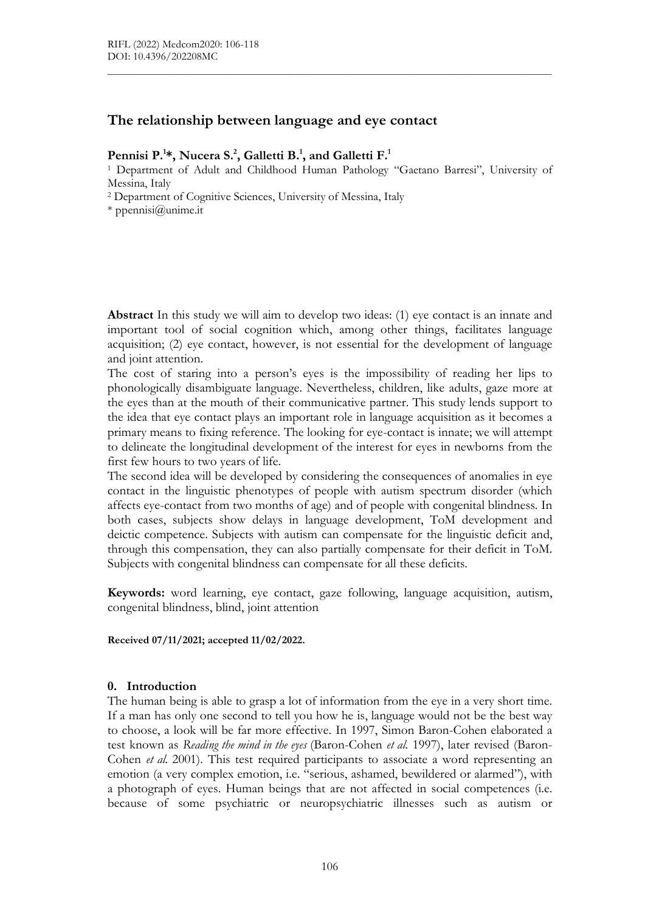# The relationship between language and eye contact

### Pennisi P.<sup>1\*</sup>, Nucera S.<sup>2</sup>, Galletti B.<sup>1</sup>, and Galletti F.<sup>1</sup>

<sup>1</sup> Department of Adult and Childhood Human Pathology "Gaetano Barresi", University of Messina, Italy

 $\mathcal{L}_\mathcal{L} = \{ \mathcal{L}_\mathcal{L} = \{ \mathcal{L}_\mathcal{L} = \{ \mathcal{L}_\mathcal{L} = \{ \mathcal{L}_\mathcal{L} = \{ \mathcal{L}_\mathcal{L} = \{ \mathcal{L}_\mathcal{L} = \{ \mathcal{L}_\mathcal{L} = \{ \mathcal{L}_\mathcal{L} = \{ \mathcal{L}_\mathcal{L} = \{ \mathcal{L}_\mathcal{L} = \{ \mathcal{L}_\mathcal{L} = \{ \mathcal{L}_\mathcal{L} = \{ \mathcal{L}_\mathcal{L} = \{ \mathcal{L}_\mathcal{$ 

2 Department of Cognitive Sciences, University of Messina, Italy

\* ppennisi@unime.it

Abstract In this study we will aim to develop two ideas: (1) eye contact is an innate and important tool of social cognition which, among other things, facilitates language acquisition; (2) eye contact, however, is not essential for the development of language and joint attention.

The cost of staring into a person's eyes is the impossibility of reading her lips to phonologically disambiguate language. Nevertheless, children, like adults, gaze more at the eyes than at the mouth of their communicative partner. This study lends support to the idea that eye contact plays an important role in language acquisition as it becomes a primary means to fixing reference. The looking for eye-contact is innate; we will attempt to delineate the longitudinal development of the interest for eyes in newborns from the first few hours to two years of life.

The second idea will be developed by considering the consequences of anomalies in eye contact in the linguistic phenotypes of people with autism spectrum disorder (which affects eye-contact from two months of age) and of people with congenital blindness. In both cases, subjects show delays in language development, ToM development and deictic competence. Subjects with autism can compensate for the linguistic deficit and, through this compensation, they can also partially compensate for their deficit in ToM. Subjects with congenital blindness can compensate for all these deficits.

Keywords: word learning, eye contact, gaze following, language acquisition, autism, congenital blindness, blind, joint attention

Received 07/11/2021; accepted 11/02/2022.

#### 0. Introduction

The human being is able to grasp a lot of information from the eye in a very short time. If a man has only one second to tell you how he is, language would not be the best way to choose, a look will be far more effective. In 1997, Simon Baron-Cohen elaborated a test known as Reading the mind in the eyes (Baron-Cohen et al. 1997), later revised (Baron-Cohen *et al.* 2001). This test required participants to associate a word representing an emotion (a very complex emotion, i.e. "serious, ashamed, bewildered or alarmed"), with a photograph of eyes. Human beings that are not affected in social competences (i.e. because of some psychiatric or neuropsychiatric illnesses such as autism or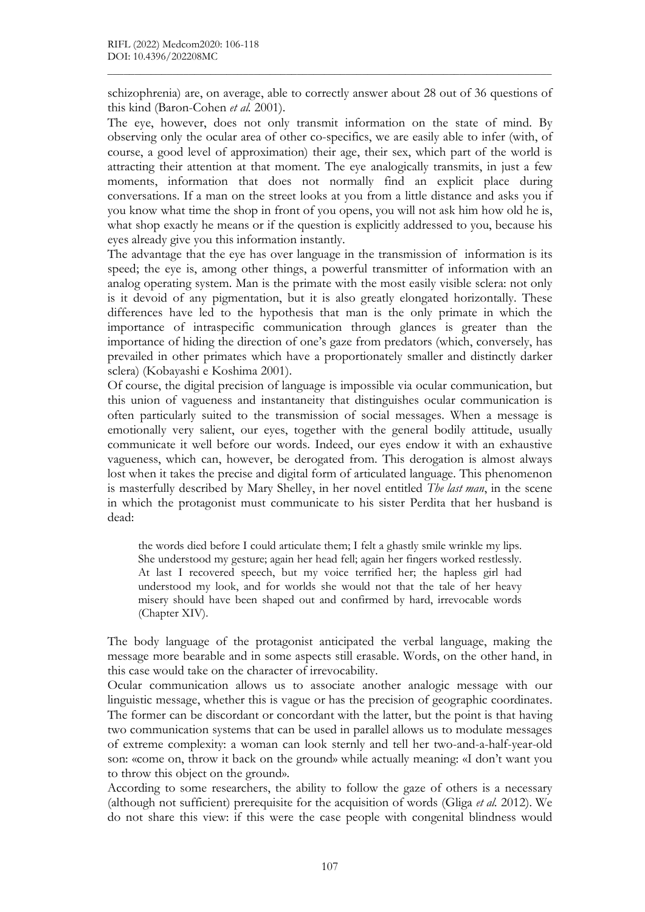schizophrenia) are, on average, able to correctly answer about 28 out of 36 questions of this kind (Baron-Cohen et al. 2001).

 $\mathcal{L}_\mathcal{L} = \{ \mathcal{L}_\mathcal{L} = \{ \mathcal{L}_\mathcal{L} = \{ \mathcal{L}_\mathcal{L} = \{ \mathcal{L}_\mathcal{L} = \{ \mathcal{L}_\mathcal{L} = \{ \mathcal{L}_\mathcal{L} = \{ \mathcal{L}_\mathcal{L} = \{ \mathcal{L}_\mathcal{L} = \{ \mathcal{L}_\mathcal{L} = \{ \mathcal{L}_\mathcal{L} = \{ \mathcal{L}_\mathcal{L} = \{ \mathcal{L}_\mathcal{L} = \{ \mathcal{L}_\mathcal{L} = \{ \mathcal{L}_\mathcal{$ 

The eye, however, does not only transmit information on the state of mind. By observing only the ocular area of other co-specifics, we are easily able to infer (with, of course, a good level of approximation) their age, their sex, which part of the world is attracting their attention at that moment. The eye analogically transmits, in just a few moments, information that does not normally find an explicit place during conversations. If a man on the street looks at you from a little distance and asks you if you know what time the shop in front of you opens, you will not ask him how old he is, what shop exactly he means or if the question is explicitly addressed to you, because his eyes already give you this information instantly.

The advantage that the eye has over language in the transmission of information is its speed; the eye is, among other things, a powerful transmitter of information with an analog operating system. Man is the primate with the most easily visible sclera: not only is it devoid of any pigmentation, but it is also greatly elongated horizontally. These differences have led to the hypothesis that man is the only primate in which the importance of intraspecific communication through glances is greater than the importance of hiding the direction of one's gaze from predators (which, conversely, has prevailed in other primates which have a proportionately smaller and distinctly darker sclera) (Kobayashi e Koshima 2001).

Of course, the digital precision of language is impossible via ocular communication, but this union of vagueness and instantaneity that distinguishes ocular communication is often particularly suited to the transmission of social messages. When a message is emotionally very salient, our eyes, together with the general bodily attitude, usually communicate it well before our words. Indeed, our eyes endow it with an exhaustive vagueness, which can, however, be derogated from. This derogation is almost always lost when it takes the precise and digital form of articulated language. This phenomenon is masterfully described by Mary Shelley, in her novel entitled *The last man*, in the scene in which the protagonist must communicate to his sister Perdita that her husband is dead:

the words died before I could articulate them; I felt a ghastly smile wrinkle my lips. She understood my gesture; again her head fell; again her fingers worked restlessly. At last I recovered speech, but my voice terrified her; the hapless girl had understood my look, and for worlds she would not that the tale of her heavy misery should have been shaped out and confirmed by hard, irrevocable words (Chapter XIV).

The body language of the protagonist anticipated the verbal language, making the message more bearable and in some aspects still erasable. Words, on the other hand, in this case would take on the character of irrevocability.

Ocular communication allows us to associate another analogic message with our linguistic message, whether this is vague or has the precision of geographic coordinates. The former can be discordant or concordant with the latter, but the point is that having two communication systems that can be used in parallel allows us to modulate messages of extreme complexity: a woman can look sternly and tell her two-and-a-half-year-old son: «come on, throw it back on the ground» while actually meaning: «I don't want you to throw this object on the ground».

According to some researchers, the ability to follow the gaze of others is a necessary (although not sufficient) prerequisite for the acquisition of words (Gliga *et al.* 2012). We do not share this view: if this were the case people with congenital blindness would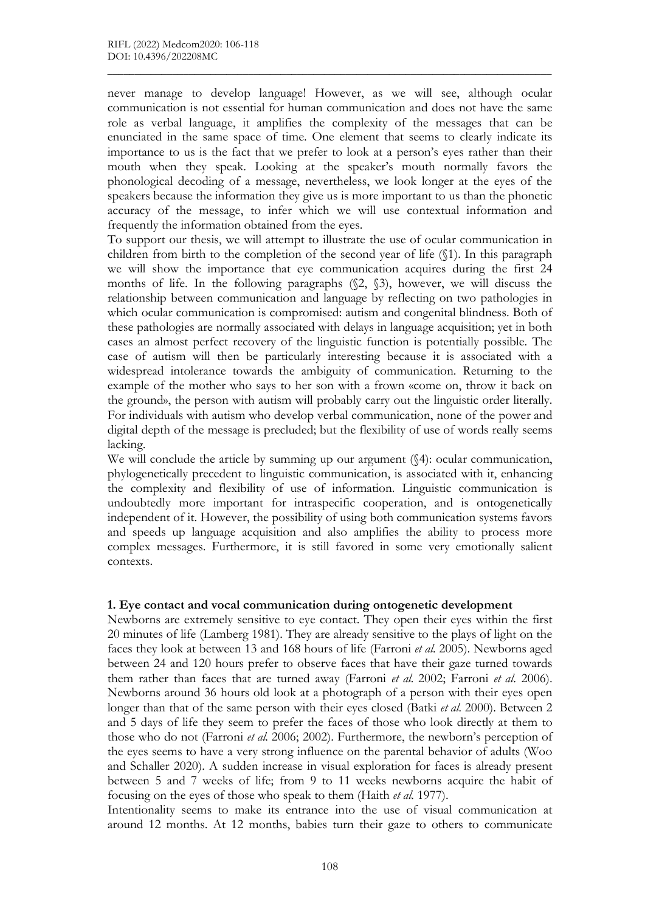never manage to develop language! However, as we will see, although ocular communication is not essential for human communication and does not have the same role as verbal language, it amplifies the complexity of the messages that can be enunciated in the same space of time. One element that seems to clearly indicate its importance to us is the fact that we prefer to look at a person's eyes rather than their mouth when they speak. Looking at the speaker's mouth normally favors the phonological decoding of a message, nevertheless, we look longer at the eyes of the speakers because the information they give us is more important to us than the phonetic accuracy of the message, to infer which we will use contextual information and frequently the information obtained from the eyes.

 $\mathcal{L}_\mathcal{L} = \{ \mathcal{L}_\mathcal{L} = \{ \mathcal{L}_\mathcal{L} = \{ \mathcal{L}_\mathcal{L} = \{ \mathcal{L}_\mathcal{L} = \{ \mathcal{L}_\mathcal{L} = \{ \mathcal{L}_\mathcal{L} = \{ \mathcal{L}_\mathcal{L} = \{ \mathcal{L}_\mathcal{L} = \{ \mathcal{L}_\mathcal{L} = \{ \mathcal{L}_\mathcal{L} = \{ \mathcal{L}_\mathcal{L} = \{ \mathcal{L}_\mathcal{L} = \{ \mathcal{L}_\mathcal{L} = \{ \mathcal{L}_\mathcal{$ 

To support our thesis, we will attempt to illustrate the use of ocular communication in children from birth to the completion of the second year of life (§1). In this paragraph we will show the importance that eye communication acquires during the first 24 months of life. In the following paragraphs (§2, §3), however, we will discuss the relationship between communication and language by reflecting on two pathologies in which ocular communication is compromised: autism and congenital blindness. Both of these pathologies are normally associated with delays in language acquisition; yet in both cases an almost perfect recovery of the linguistic function is potentially possible. The case of autism will then be particularly interesting because it is associated with a widespread intolerance towards the ambiguity of communication. Returning to the example of the mother who says to her son with a frown «come on, throw it back on the ground», the person with autism will probably carry out the linguistic order literally. For individuals with autism who develop verbal communication, none of the power and digital depth of the message is precluded; but the flexibility of use of words really seems lacking.

We will conclude the article by summing up our argument  $(\S4)$ : ocular communication, phylogenetically precedent to linguistic communication, is associated with it, enhancing the complexity and flexibility of use of information. Linguistic communication is undoubtedly more important for intraspecific cooperation, and is ontogenetically independent of it. However, the possibility of using both communication systems favors and speeds up language acquisition and also amplifies the ability to process more complex messages. Furthermore, it is still favored in some very emotionally salient contexts.

#### 1. Eye contact and vocal communication during ontogenetic development

Newborns are extremely sensitive to eye contact. They open their eyes within the first 20 minutes of life (Lamberg 1981). They are already sensitive to the plays of light on the faces they look at between 13 and 168 hours of life (Farroni et al. 2005). Newborns aged between 24 and 120 hours prefer to observe faces that have their gaze turned towards them rather than faces that are turned away (Farroni et al. 2002; Farroni et al. 2006). Newborns around 36 hours old look at a photograph of a person with their eyes open longer than that of the same person with their eyes closed (Batki et al. 2000). Between 2 and 5 days of life they seem to prefer the faces of those who look directly at them to those who do not (Farroni et al. 2006; 2002). Furthermore, the newborn's perception of the eyes seems to have a very strong influence on the parental behavior of adults (Woo and Schaller 2020). A sudden increase in visual exploration for faces is already present between 5 and 7 weeks of life; from 9 to 11 weeks newborns acquire the habit of focusing on the eyes of those who speak to them (Haith et al. 1977).

Intentionality seems to make its entrance into the use of visual communication at around 12 months. At 12 months, babies turn their gaze to others to communicate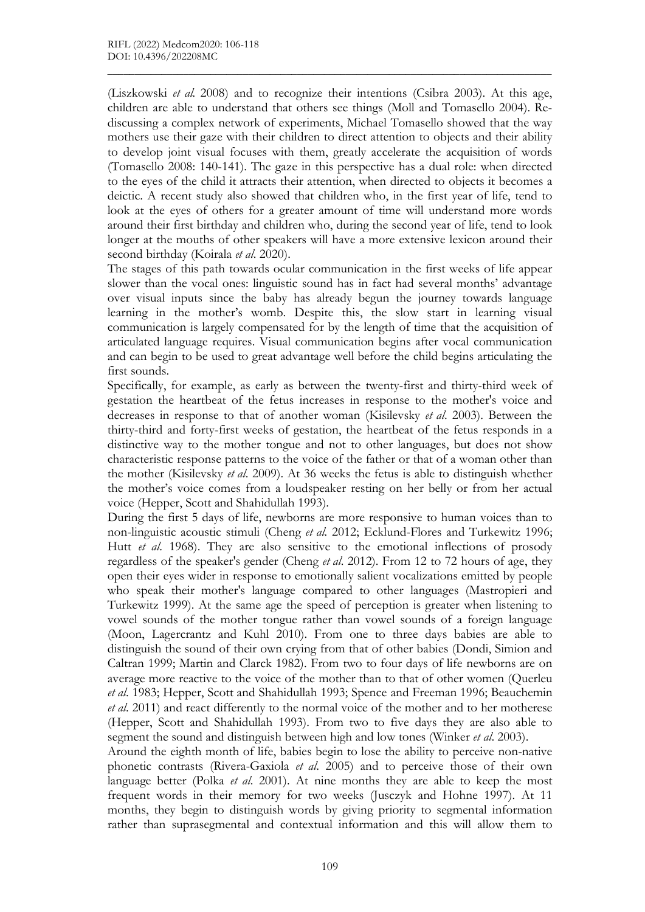(Liszkowski et al. 2008) and to recognize their intentions (Csibra 2003). At this age, children are able to understand that others see things (Moll and Tomasello 2004). Rediscussing a complex network of experiments, Michael Tomasello showed that the way mothers use their gaze with their children to direct attention to objects and their ability to develop joint visual focuses with them, greatly accelerate the acquisition of words (Tomasello 2008: 140-141). The gaze in this perspective has a dual role: when directed to the eyes of the child it attracts their attention, when directed to objects it becomes a deictic. A recent study also showed that children who, in the first year of life, tend to look at the eyes of others for a greater amount of time will understand more words around their first birthday and children who, during the second year of life, tend to look longer at the mouths of other speakers will have a more extensive lexicon around their second birthday (Koirala et al. 2020).

 $\mathcal{L}_\mathcal{L} = \{ \mathcal{L}_\mathcal{L} = \{ \mathcal{L}_\mathcal{L} = \{ \mathcal{L}_\mathcal{L} = \{ \mathcal{L}_\mathcal{L} = \{ \mathcal{L}_\mathcal{L} = \{ \mathcal{L}_\mathcal{L} = \{ \mathcal{L}_\mathcal{L} = \{ \mathcal{L}_\mathcal{L} = \{ \mathcal{L}_\mathcal{L} = \{ \mathcal{L}_\mathcal{L} = \{ \mathcal{L}_\mathcal{L} = \{ \mathcal{L}_\mathcal{L} = \{ \mathcal{L}_\mathcal{L} = \{ \mathcal{L}_\mathcal{$ 

The stages of this path towards ocular communication in the first weeks of life appear slower than the vocal ones: linguistic sound has in fact had several months' advantage over visual inputs since the baby has already begun the journey towards language learning in the mother's womb. Despite this, the slow start in learning visual communication is largely compensated for by the length of time that the acquisition of articulated language requires. Visual communication begins after vocal communication and can begin to be used to great advantage well before the child begins articulating the first sounds.

Specifically, for example, as early as between the twenty-first and thirty-third week of gestation the heartbeat of the fetus increases in response to the mother's voice and decreases in response to that of another woman (Kisilevsky et al. 2003). Between the thirty-third and forty-first weeks of gestation, the heartbeat of the fetus responds in a distinctive way to the mother tongue and not to other languages, but does not show characteristic response patterns to the voice of the father or that of a woman other than the mother (Kisilevsky et al. 2009). At 36 weeks the fetus is able to distinguish whether the mother's voice comes from a loudspeaker resting on her belly or from her actual voice (Hepper, Scott and Shahidullah 1993).

During the first 5 days of life, newborns are more responsive to human voices than to non-linguistic acoustic stimuli (Cheng et al. 2012; Ecklund-Flores and Turkewitz 1996; Hutt et al. 1968). They are also sensitive to the emotional inflections of prosody regardless of the speaker's gender (Cheng et al. 2012). From 12 to 72 hours of age, they open their eyes wider in response to emotionally salient vocalizations emitted by people who speak their mother's language compared to other languages (Mastropieri and Turkewitz 1999). At the same age the speed of perception is greater when listening to vowel sounds of the mother tongue rather than vowel sounds of a foreign language (Moon, Lagercrantz and Kuhl 2010). From one to three days babies are able to distinguish the sound of their own crying from that of other babies (Dondi, Simion and Caltran 1999; Martin and Clarck 1982). From two to four days of life newborns are on average more reactive to the voice of the mother than to that of other women (Querleu et al. 1983; Hepper, Scott and Shahidullah 1993; Spence and Freeman 1996; Beauchemin et al. 2011) and react differently to the normal voice of the mother and to her motherese (Hepper, Scott and Shahidullah 1993). From two to five days they are also able to segment the sound and distinguish between high and low tones (Winker et al. 2003).

Around the eighth month of life, babies begin to lose the ability to perceive non-native phonetic contrasts (Rivera-Gaxiola et al. 2005) and to perceive those of their own language better (Polka *et al.* 2001). At nine months they are able to keep the most frequent words in their memory for two weeks (Jusczyk and Hohne 1997). At 11 months, they begin to distinguish words by giving priority to segmental information rather than suprasegmental and contextual information and this will allow them to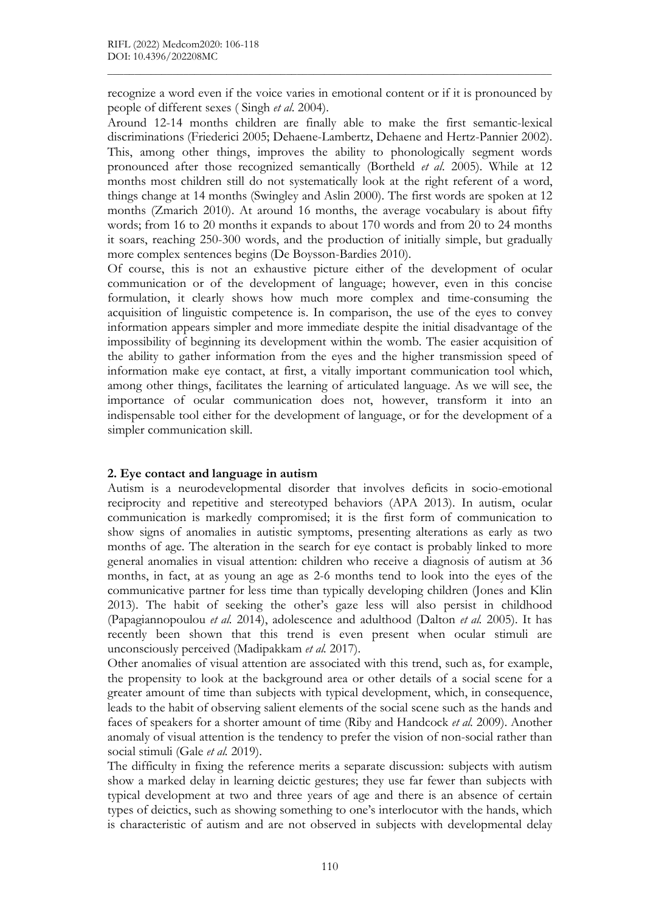recognize a word even if the voice varies in emotional content or if it is pronounced by people of different sexes ( Singh et al. 2004).

 $\mathcal{L}_\mathcal{L} = \{ \mathcal{L}_\mathcal{L} = \{ \mathcal{L}_\mathcal{L} = \{ \mathcal{L}_\mathcal{L} = \{ \mathcal{L}_\mathcal{L} = \{ \mathcal{L}_\mathcal{L} = \{ \mathcal{L}_\mathcal{L} = \{ \mathcal{L}_\mathcal{L} = \{ \mathcal{L}_\mathcal{L} = \{ \mathcal{L}_\mathcal{L} = \{ \mathcal{L}_\mathcal{L} = \{ \mathcal{L}_\mathcal{L} = \{ \mathcal{L}_\mathcal{L} = \{ \mathcal{L}_\mathcal{L} = \{ \mathcal{L}_\mathcal{$ 

Around 12-14 months children are finally able to make the first semantic-lexical discriminations (Friederici 2005; Dehaene-Lambertz, Dehaene and Hertz-Pannier 2002). This, among other things, improves the ability to phonologically segment words pronounced after those recognized semantically (Bortheld et al. 2005). While at 12 months most children still do not systematically look at the right referent of a word, things change at 14 months (Swingley and Aslin 2000). The first words are spoken at 12 months (Zmarich 2010). At around 16 months, the average vocabulary is about fifty words; from 16 to 20 months it expands to about 170 words and from 20 to 24 months it soars, reaching 250-300 words, and the production of initially simple, but gradually more complex sentences begins (De Boysson-Bardies 2010).

Of course, this is not an exhaustive picture either of the development of ocular communication or of the development of language; however, even in this concise formulation, it clearly shows how much more complex and time-consuming the acquisition of linguistic competence is. In comparison, the use of the eyes to convey information appears simpler and more immediate despite the initial disadvantage of the impossibility of beginning its development within the womb. The easier acquisition of the ability to gather information from the eyes and the higher transmission speed of information make eye contact, at first, a vitally important communication tool which, among other things, facilitates the learning of articulated language. As we will see, the importance of ocular communication does not, however, transform it into an indispensable tool either for the development of language, or for the development of a simpler communication skill.

#### 2. Eye contact and language in autism

Autism is a neurodevelopmental disorder that involves deficits in socio-emotional reciprocity and repetitive and stereotyped behaviors (APA 2013). In autism, ocular communication is markedly compromised; it is the first form of communication to show signs of anomalies in autistic symptoms, presenting alterations as early as two months of age. The alteration in the search for eye contact is probably linked to more general anomalies in visual attention: children who receive a diagnosis of autism at 36 months, in fact, at as young an age as 2-6 months tend to look into the eyes of the communicative partner for less time than typically developing children (Jones and Klin 2013). The habit of seeking the other's gaze less will also persist in childhood (Papagiannopoulou et al. 2014), adolescence and adulthood (Dalton et al. 2005). It has recently been shown that this trend is even present when ocular stimuli are unconsciously perceived (Madipakkam et al. 2017).

Other anomalies of visual attention are associated with this trend, such as, for example, the propensity to look at the background area or other details of a social scene for a greater amount of time than subjects with typical development, which, in consequence, leads to the habit of observing salient elements of the social scene such as the hands and faces of speakers for a shorter amount of time (Riby and Handcock et al. 2009). Another anomaly of visual attention is the tendency to prefer the vision of non-social rather than social stimuli (Gale et al. 2019).

The difficulty in fixing the reference merits a separate discussion: subjects with autism show a marked delay in learning deictic gestures; they use far fewer than subjects with typical development at two and three years of age and there is an absence of certain types of deictics, such as showing something to one's interlocutor with the hands, which is characteristic of autism and are not observed in subjects with developmental delay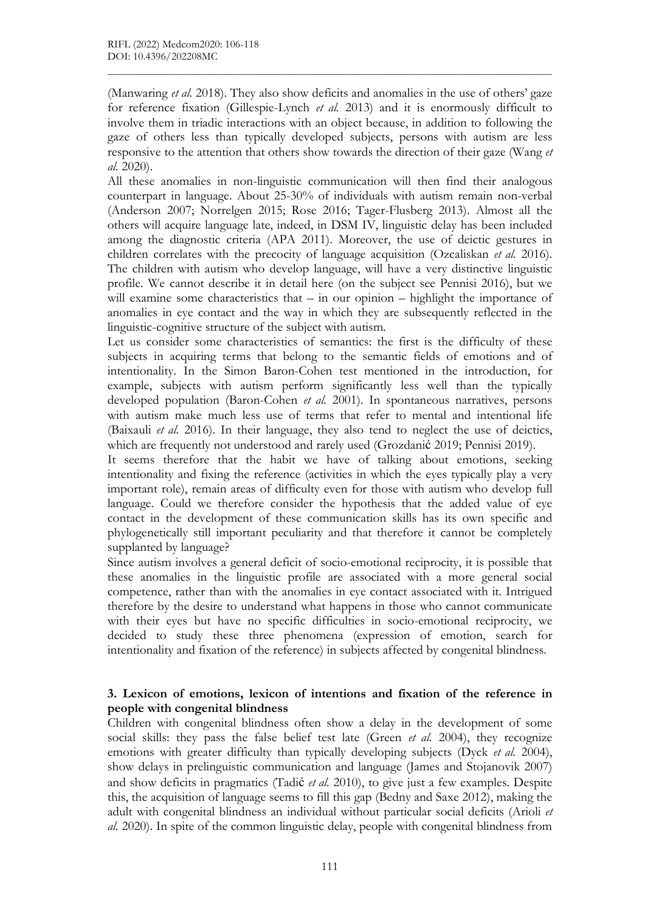(Manwaring et al. 2018). They also show deficits and anomalies in the use of others' gaze for reference fixation (Gillespie-Lynch et al. 2013) and it is enormously difficult to involve them in triadic interactions with an object because, in addition to following the gaze of others less than typically developed subjects, persons with autism are less responsive to the attention that others show towards the direction of their gaze (Wang et al. 2020).

 $\mathcal{L}_\mathcal{L} = \{ \mathcal{L}_\mathcal{L} = \{ \mathcal{L}_\mathcal{L} = \{ \mathcal{L}_\mathcal{L} = \{ \mathcal{L}_\mathcal{L} = \{ \mathcal{L}_\mathcal{L} = \{ \mathcal{L}_\mathcal{L} = \{ \mathcal{L}_\mathcal{L} = \{ \mathcal{L}_\mathcal{L} = \{ \mathcal{L}_\mathcal{L} = \{ \mathcal{L}_\mathcal{L} = \{ \mathcal{L}_\mathcal{L} = \{ \mathcal{L}_\mathcal{L} = \{ \mathcal{L}_\mathcal{L} = \{ \mathcal{L}_\mathcal{$ 

All these anomalies in non-linguistic communication will then find their analogous counterpart in language. About 25-30% of individuals with autism remain non-verbal (Anderson 2007; Norrelgen 2015; Rose 2016; Tager-Flusberg 2013). Almost all the others will acquire language late, indeed, in DSM IV, linguistic delay has been included among the diagnostic criteria (APA 2011). Moreover, the use of deictic gestures in children correlates with the precocity of language acquisition (Ozcaliskan et al. 2016). The children with autism who develop language, will have a very distinctive linguistic profile. We cannot describe it in detail here (on the subject see Pennisi 2016), but we will examine some characteristics that – in our opinion – highlight the importance of anomalies in eye contact and the way in which they are subsequently reflected in the linguistic-cognitive structure of the subject with autism.

Let us consider some characteristics of semantics: the first is the difficulty of these subjects in acquiring terms that belong to the semantic fields of emotions and of intentionality. In the Simon Baron-Cohen test mentioned in the introduction, for example, subjects with autism perform significantly less well than the typically developed population (Baron-Cohen *et al.* 2001). In spontaneous narratives, persons with autism make much less use of terms that refer to mental and intentional life (Baixauli *et al.* 2016). In their language, they also tend to neglect the use of deictics, which are frequently not understood and rarely used (Grozdanić 2019; Pennisi 2019).

It seems therefore that the habit we have of talking about emotions, seeking intentionality and fixing the reference (activities in which the eyes typically play a very important role), remain areas of difficulty even for those with autism who develop full language. Could we therefore consider the hypothesis that the added value of eye contact in the development of these communication skills has its own specific and phylogenetically still important peculiarity and that therefore it cannot be completely supplanted by language?

Since autism involves a general deficit of socio-emotional reciprocity, it is possible that these anomalies in the linguistic profile are associated with a more general social competence, rather than with the anomalies in eye contact associated with it. Intrigued therefore by the desire to understand what happens in those who cannot communicate with their eyes but have no specific difficulties in socio-emotional reciprocity, we decided to study these three phenomena (expression of emotion, search for intentionality and fixation of the reference) in subjects affected by congenital blindness.

## 3. Lexicon of emotions, lexicon of intentions and fixation of the reference in people with congenital blindness

Children with congenital blindness often show a delay in the development of some social skills: they pass the false belief test late (Green *et al.* 2004), they recognize emotions with greater difficulty than typically developing subjects (Dyck *et al.* 2004), show delays in prelinguistic communication and language (James and Stojanovik 2007) and show deficits in pragmatics (Tadić et al. 2010), to give just a few examples. Despite this, the acquisition of language seems to fill this gap (Bedny and Saxe 2012), making the adult with congenital blindness an individual without particular social deficits (Arioli et al. 2020). In spite of the common linguistic delay, people with congenital blindness from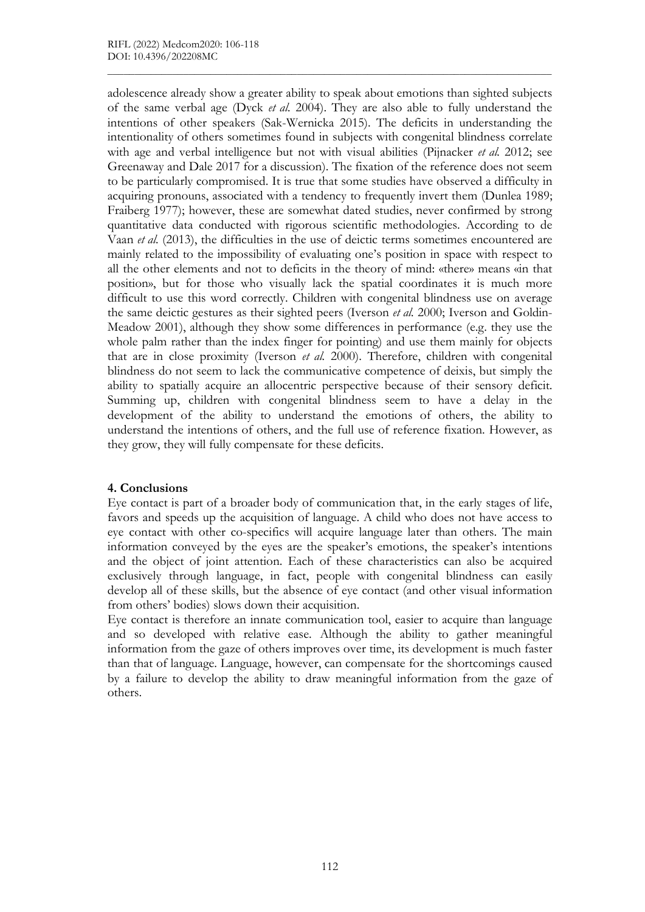adolescence already show a greater ability to speak about emotions than sighted subjects of the same verbal age (Dyck et al. 2004). They are also able to fully understand the intentions of other speakers (Sak-Wernicka 2015). The deficits in understanding the intentionality of others sometimes found in subjects with congenital blindness correlate with age and verbal intelligence but not with visual abilities (Pijnacker et al. 2012; see Greenaway and Dale 2017 for a discussion). The fixation of the reference does not seem to be particularly compromised. It is true that some studies have observed a difficulty in acquiring pronouns, associated with a tendency to frequently invert them (Dunlea 1989; Fraiberg 1977); however, these are somewhat dated studies, never confirmed by strong quantitative data conducted with rigorous scientific methodologies. According to de Vaan et al. (2013), the difficulties in the use of deictic terms sometimes encountered are mainly related to the impossibility of evaluating one's position in space with respect to all the other elements and not to deficits in the theory of mind: «there» means «in that position», but for those who visually lack the spatial coordinates it is much more difficult to use this word correctly. Children with congenital blindness use on average the same deictic gestures as their sighted peers (Iverson et al. 2000; Iverson and Goldin-Meadow 2001), although they show some differences in performance (e.g. they use the whole palm rather than the index finger for pointing) and use them mainly for objects that are in close proximity (Iverson *et al.* 2000). Therefore, children with congenital blindness do not seem to lack the communicative competence of deixis, but simply the ability to spatially acquire an allocentric perspective because of their sensory deficit. Summing up, children with congenital blindness seem to have a delay in the development of the ability to understand the emotions of others, the ability to understand the intentions of others, and the full use of reference fixation. However, as they grow, they will fully compensate for these deficits.

 $\mathcal{L}_\mathcal{L} = \{ \mathcal{L}_\mathcal{L} = \{ \mathcal{L}_\mathcal{L} = \{ \mathcal{L}_\mathcal{L} = \{ \mathcal{L}_\mathcal{L} = \{ \mathcal{L}_\mathcal{L} = \{ \mathcal{L}_\mathcal{L} = \{ \mathcal{L}_\mathcal{L} = \{ \mathcal{L}_\mathcal{L} = \{ \mathcal{L}_\mathcal{L} = \{ \mathcal{L}_\mathcal{L} = \{ \mathcal{L}_\mathcal{L} = \{ \mathcal{L}_\mathcal{L} = \{ \mathcal{L}_\mathcal{L} = \{ \mathcal{L}_\mathcal{$ 

# 4. Conclusions

Eye contact is part of a broader body of communication that, in the early stages of life, favors and speeds up the acquisition of language. A child who does not have access to eye contact with other co-specifics will acquire language later than others. The main information conveyed by the eyes are the speaker's emotions, the speaker's intentions and the object of joint attention. Each of these characteristics can also be acquired exclusively through language, in fact, people with congenital blindness can easily develop all of these skills, but the absence of eye contact (and other visual information from others' bodies) slows down their acquisition.

Eye contact is therefore an innate communication tool, easier to acquire than language and so developed with relative ease. Although the ability to gather meaningful information from the gaze of others improves over time, its development is much faster than that of language. Language, however, can compensate for the shortcomings caused by a failure to develop the ability to draw meaningful information from the gaze of others.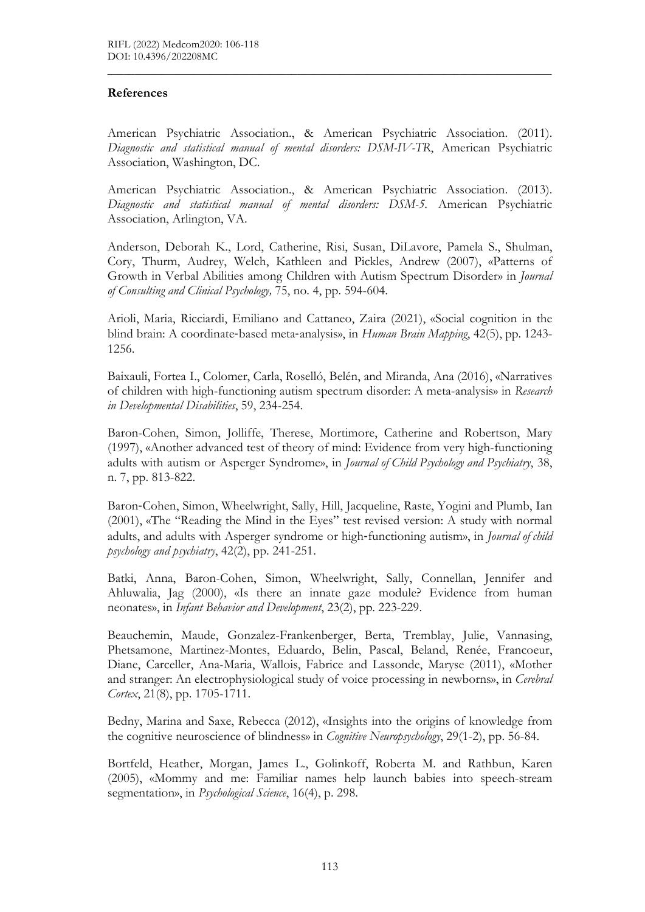### References

American Psychiatric Association., & American Psychiatric Association. (2011). Diagnostic and statistical manual of mental disorders: DSM-IV-TR, American Psychiatric Association, Washington, DC.

 $\mathcal{L}_\mathcal{L} = \{ \mathcal{L}_\mathcal{L} = \{ \mathcal{L}_\mathcal{L} = \{ \mathcal{L}_\mathcal{L} = \{ \mathcal{L}_\mathcal{L} = \{ \mathcal{L}_\mathcal{L} = \{ \mathcal{L}_\mathcal{L} = \{ \mathcal{L}_\mathcal{L} = \{ \mathcal{L}_\mathcal{L} = \{ \mathcal{L}_\mathcal{L} = \{ \mathcal{L}_\mathcal{L} = \{ \mathcal{L}_\mathcal{L} = \{ \mathcal{L}_\mathcal{L} = \{ \mathcal{L}_\mathcal{L} = \{ \mathcal{L}_\mathcal{$ 

American Psychiatric Association., & American Psychiatric Association. (2013). Diagnostic and statistical manual of mental disorders: DSM-5. American Psychiatric Association, Arlington, VA.

Anderson, Deborah K., Lord, Catherine, Risi, Susan, DiLavore, Pamela S., Shulman, Cory, Thurm, Audrey, Welch, Kathleen and Pickles, Andrew (2007), «Patterns of Growth in Verbal Abilities among Children with Autism Spectrum Disorder» in Journal of Consulting and Clinical Psychology, 75, no. 4, pp. 594-604.

Arioli, Maria, Ricciardi, Emiliano and Cattaneo, Zaira (2021), «Social cognition in the blind brain: A coordinate-based meta-analysis», in Human Brain Mapping, 42(5), pp. 1243-1256.

Baixauli, Fortea I., Colomer, Carla, Roselló, Belén, and Miranda, Ana (2016), «Narratives of children with high-functioning autism spectrum disorder: A meta-analysis» in Research in Developmental Disabilities, 59, 234-254.

Baron-Cohen, Simon, Jolliffe, Therese, Mortimore, Catherine and Robertson, Mary (1997), «Another advanced test of theory of mind: Evidence from very high-functioning adults with autism or Asperger Syndrome», in Journal of Child Psychology and Psychiatry, 38, n. 7, pp. 813-822.

Baron‐Cohen, Simon, Wheelwright, Sally, Hill, Jacqueline, Raste, Yogini and Plumb, Ian (2001), «The "Reading the Mind in the Eyes" test revised version: A study with normal adults, and adults with Asperger syndrome or high-functioning autism», in *Journal of child* psychology and psychiatry, 42(2), pp. 241-251.

Batki, Anna, Baron-Cohen, Simon, Wheelwright, Sally, Connellan, Jennifer and Ahluwalia, Jag (2000), «Is there an innate gaze module? Evidence from human neonates», in Infant Behavior and Development, 23(2), pp. 223-229.

Beauchemin, Maude, Gonzalez-Frankenberger, Berta, Tremblay, Julie, Vannasing, Phetsamone, Martinez-Montes, Eduardo, Belin, Pascal, Beland, Renée, Francoeur, Diane, Carceller, Ana-Maria, Wallois, Fabrice and Lassonde, Maryse (2011), «Mother and stranger: An electrophysiological study of voice processing in newborns», in Cerebral Cortex, 21(8), pp. 1705-1711.

Bedny, Marina and Saxe, Rebecca (2012), «Insights into the origins of knowledge from the cognitive neuroscience of blindness» in Cognitive Neuropsychology, 29(1-2), pp. 56-84.

Bortfeld, Heather, Morgan, James L., Golinkoff, Roberta M. and Rathbun, Karen (2005), «Mommy and me: Familiar names help launch babies into speech-stream segmentation», in *Psychological Science*, 16(4), p. 298.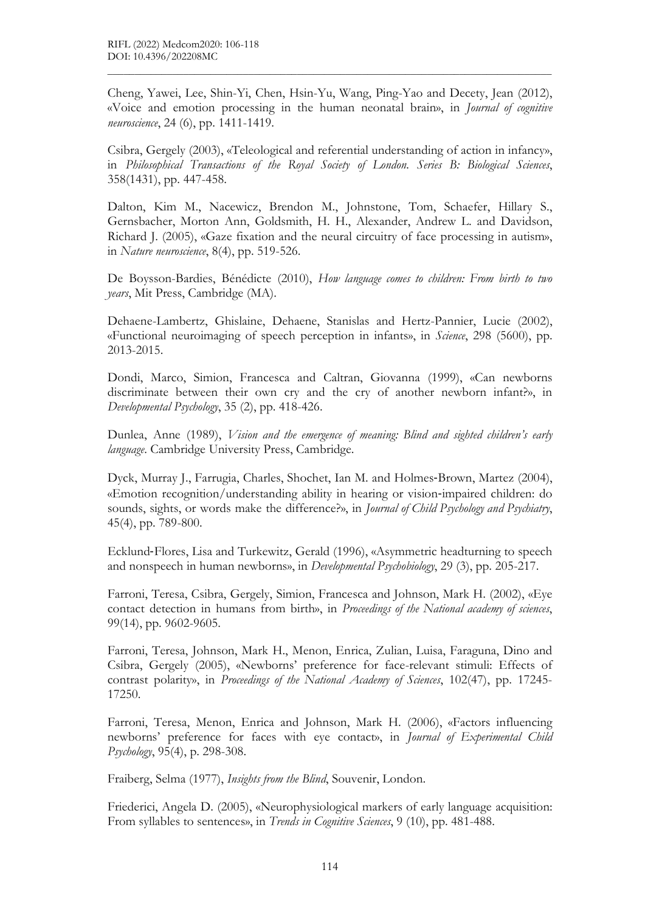Cheng, Yawei, Lee, Shin-Yi, Chen, Hsin-Yu, Wang, Ping-Yao and Decety, Jean (2012), «Voice and emotion processing in the human neonatal brain», in Journal of cognitive neuroscience, 24 (6), pp. 1411-1419.

 $\mathcal{L}_\mathcal{L} = \{ \mathcal{L}_\mathcal{L} = \{ \mathcal{L}_\mathcal{L} = \{ \mathcal{L}_\mathcal{L} = \{ \mathcal{L}_\mathcal{L} = \{ \mathcal{L}_\mathcal{L} = \{ \mathcal{L}_\mathcal{L} = \{ \mathcal{L}_\mathcal{L} = \{ \mathcal{L}_\mathcal{L} = \{ \mathcal{L}_\mathcal{L} = \{ \mathcal{L}_\mathcal{L} = \{ \mathcal{L}_\mathcal{L} = \{ \mathcal{L}_\mathcal{L} = \{ \mathcal{L}_\mathcal{L} = \{ \mathcal{L}_\mathcal{$ 

Csibra, Gergely (2003), «Teleological and referential understanding of action in infancy», in Philosophical Transactions of the Royal Society of London. Series B: Biological Sciences, 358(1431), pp. 447-458.

Dalton, Kim M., Nacewicz, Brendon M., Johnstone, Tom, Schaefer, Hillary S., Gernsbacher, Morton Ann, Goldsmith, H. H., Alexander, Andrew L. and Davidson, Richard J. (2005), «Gaze fixation and the neural circuitry of face processing in autism», in Nature neuroscience, 8(4), pp. 519-526.

De Boysson-Bardies, Bénédicte (2010), How language comes to children: From birth to two years, Mit Press, Cambridge (MA).

Dehaene-Lambertz, Ghislaine, Dehaene, Stanislas and Hertz-Pannier, Lucie (2002), «Functional neuroimaging of speech perception in infants», in Science, 298 (5600), pp. 2013-2015.

Dondi, Marco, Simion, Francesca and Caltran, Giovanna (1999), «Can newborns discriminate between their own cry and the cry of another newborn infant?», in Developmental Psychology, 35 (2), pp. 418-426.

Dunlea, Anne (1989), Vision and the emergence of meaning: Blind and sighted children's early language. Cambridge University Press, Cambridge.

Dyck, Murray J., Farrugia, Charles, Shochet, Ian M. and Holmes‐Brown, Martez (2004), «Emotion recognition/understanding ability in hearing or vision‐impaired children: do sounds, sights, or words make the difference?», in *Journal of Child Psychology and Psychiatry*, 45(4), pp. 789-800.

Ecklund‐Flores, Lisa and Turkewitz, Gerald (1996), «Asymmetric headturning to speech and nonspeech in human newborns», in Developmental Psychobiology, 29 (3), pp. 205-217.

Farroni, Teresa, Csibra, Gergely, Simion, Francesca and Johnson, Mark H. (2002), «Eye contact detection in humans from birth», in Proceedings of the National academy of sciences, 99(14), pp. 9602-9605.

Farroni, Teresa, Johnson, Mark H., Menon, Enrica, Zulian, Luisa, Faraguna, Dino and Csibra, Gergely (2005), «Newborns' preference for face-relevant stimuli: Effects of contrast polarity», in Proceedings of the National Academy of Sciences, 102(47), pp. 17245-17250.

Farroni, Teresa, Menon, Enrica and Johnson, Mark H. (2006), «Factors influencing newborns' preference for faces with eye contact», in Journal of Experimental Child Psychology, 95(4), p. 298-308.

Fraiberg, Selma (1977), Insights from the Blind, Souvenir, London.

Friederici, Angela D. (2005), «Neurophysiological markers of early language acquisition: From syllables to sentences», in *Trends in Cognitive Sciences*, 9 (10), pp. 481-488.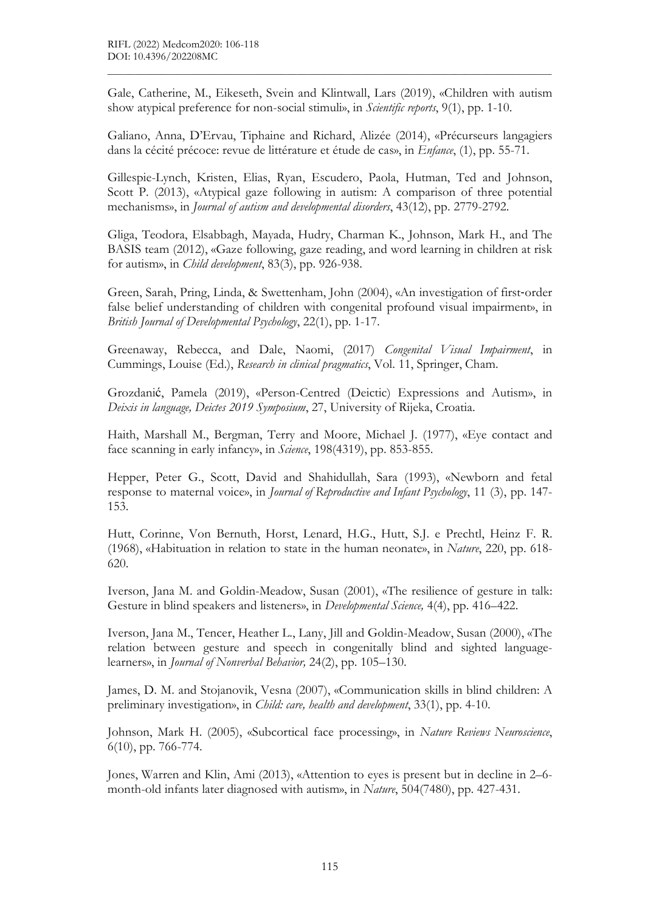Gale, Catherine, M., Eikeseth, Svein and Klintwall, Lars (2019), «Children with autism show atypical preference for non-social stimuli», in *Scientific reports*, 9(1), pp. 1-10.

 $\mathcal{L}_\mathcal{L} = \{ \mathcal{L}_\mathcal{L} = \{ \mathcal{L}_\mathcal{L} = \{ \mathcal{L}_\mathcal{L} = \{ \mathcal{L}_\mathcal{L} = \{ \mathcal{L}_\mathcal{L} = \{ \mathcal{L}_\mathcal{L} = \{ \mathcal{L}_\mathcal{L} = \{ \mathcal{L}_\mathcal{L} = \{ \mathcal{L}_\mathcal{L} = \{ \mathcal{L}_\mathcal{L} = \{ \mathcal{L}_\mathcal{L} = \{ \mathcal{L}_\mathcal{L} = \{ \mathcal{L}_\mathcal{L} = \{ \mathcal{L}_\mathcal{$ 

Galiano, Anna, D'Ervau, Tiphaine and Richard, Alizée (2014), «Précurseurs langagiers dans la cécité précoce: revue de littérature et étude de cas», in Enfance, (1), pp. 55-71.

Gillespie-Lynch, Kristen, Elias, Ryan, Escudero, Paola, Hutman, Ted and Johnson, Scott P. (2013), «Atypical gaze following in autism: A comparison of three potential mechanisms», in Journal of autism and developmental disorders, 43(12), pp. 2779-2792.

Gliga, Teodora, Elsabbagh, Mayada, Hudry, Charman K., Johnson, Mark H., and The BASIS team (2012), «Gaze following, gaze reading, and word learning in children at risk for autism», in Child development, 83(3), pp. 926-938.

Green, Sarah, Pring, Linda, & Swettenham, John (2004), «An investigation of first‐order false belief understanding of children with congenital profound visual impairment», in British Journal of Developmental Psychology, 22(1), pp. 1-17.

Greenaway, Rebecca, and Dale, Naomi, (2017) Congenital Visual Impairment, in Cummings, Louise (Ed.), Research in clinical pragmatics, Vol. 11, Springer, Cham.

Grozdanić, Pamela (2019), «Person-Centred (Deictic) Expressions and Autism», in Deixis in language, Deictes 2019 Symposium, 27, University of Rijeka, Croatia.

Haith, Marshall M., Bergman, Terry and Moore, Michael J. (1977), «Eye contact and face scanning in early infancy», in *Science*, 198(4319), pp. 853-855.

Hepper, Peter G., Scott, David and Shahidullah, Sara (1993), «Newborn and fetal response to maternal voice», in Journal of Reproductive and Infant Psychology, 11 (3), pp. 147- 153.

Hutt, Corinne, Von Bernuth, Horst, Lenard, H.G., Hutt, S.J. e Prechtl, Heinz F. R. (1968), «Habituation in relation to state in the human neonate», in Nature, 220, pp. 618- 620.

Iverson, Jana M. and Goldin-Meadow, Susan (2001), «The resilience of gesture in talk: Gesture in blind speakers and listeners», in *Developmental Science*, 4(4), pp. 416–422.

Iverson, Jana M., Tencer, Heather L., Lany, Jill and Goldin-Meadow, Susan (2000), «The relation between gesture and speech in congenitally blind and sighted languagelearners», in Journal of Nonverbal Behavior, 24(2), pp. 105–130.

James, D. M. and Stojanovik, Vesna (2007), «Communication skills in blind children: A preliminary investigation», in *Child: care, health and development*, 33(1), pp. 4-10.

Johnson, Mark H. (2005), «Subcortical face processing», in Nature Reviews Neuroscience, 6(10), pp. 766-774.

Jones, Warren and Klin, Ami (2013), «Attention to eyes is present but in decline in 2–6 month-old infants later diagnosed with autism», in Nature, 504(7480), pp. 427-431.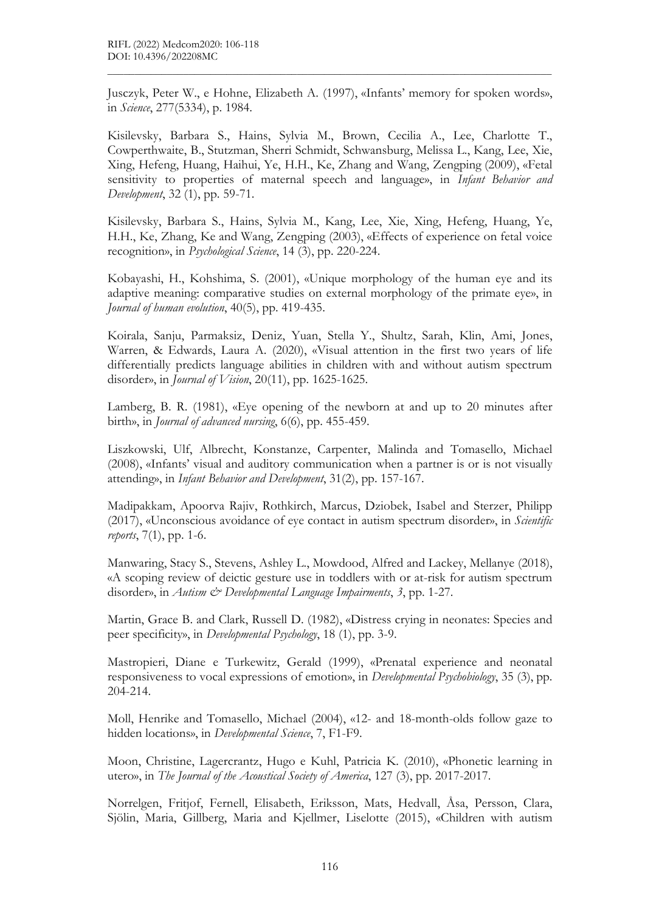Jusczyk, Peter W., e Hohne, Elizabeth A. (1997), «Infants' memory for spoken words», in Science, 277(5334), p. 1984.

 $\mathcal{L}_\mathcal{L} = \{ \mathcal{L}_\mathcal{L} = \{ \mathcal{L}_\mathcal{L} = \{ \mathcal{L}_\mathcal{L} = \{ \mathcal{L}_\mathcal{L} = \{ \mathcal{L}_\mathcal{L} = \{ \mathcal{L}_\mathcal{L} = \{ \mathcal{L}_\mathcal{L} = \{ \mathcal{L}_\mathcal{L} = \{ \mathcal{L}_\mathcal{L} = \{ \mathcal{L}_\mathcal{L} = \{ \mathcal{L}_\mathcal{L} = \{ \mathcal{L}_\mathcal{L} = \{ \mathcal{L}_\mathcal{L} = \{ \mathcal{L}_\mathcal{$ 

Kisilevsky, Barbara S., Hains, Sylvia M., Brown, Cecilia A., Lee, Charlotte T., Cowperthwaite, B., Stutzman, Sherri Schmidt, Schwansburg, Melissa L., Kang, Lee, Xie, Xing, Hefeng, Huang, Haihui, Ye, H.H., Ke, Zhang and Wang, Zengping (2009), «Fetal sensitivity to properties of maternal speech and language», in *Infant Behavior and* Development, 32 (1), pp. 59-71.

Kisilevsky, Barbara S., Hains, Sylvia M., Kang, Lee, Xie, Xing, Hefeng, Huang, Ye, H.H., Ke, Zhang, Ke and Wang, Zengping (2003), «Effects of experience on fetal voice recognition», in Psychological Science, 14 (3), pp. 220-224.

Kobayashi, H., Kohshima, S. (2001), «Unique morphology of the human eye and its adaptive meaning: comparative studies on external morphology of the primate eye», in Journal of human evolution, 40(5), pp. 419-435.

Koirala, Sanju, Parmaksiz, Deniz, Yuan, Stella Y., Shultz, Sarah, Klin, Ami, Jones, Warren, & Edwards, Laura A. (2020), «Visual attention in the first two years of life differentially predicts language abilities in children with and without autism spectrum disorder», in *Journal of Vision*, 20(11), pp. 1625-1625.

Lamberg, B. R. (1981), «Eye opening of the newborn at and up to 20 minutes after birth», in Journal of advanced nursing, 6(6), pp. 455-459.

Liszkowski, Ulf, Albrecht, Konstanze, Carpenter, Malinda and Tomasello, Michael (2008), «Infants' visual and auditory communication when a partner is or is not visually attending», in Infant Behavior and Development, 31(2), pp. 157-167.

Madipakkam, Apoorva Rajiv, Rothkirch, Marcus, Dziobek, Isabel and Sterzer, Philipp  $(2017)$ , «Unconscious avoidance of eye contact in autism spectrum disorder», in *Scientific* reports, 7(1), pp. 1-6.

Manwaring, Stacy S., Stevens, Ashley L., Mowdood, Alfred and Lackey, Mellanye (2018), «A scoping review of deictic gesture use in toddlers with or at-risk for autism spectrum disorder», in Autism & Developmental Language Impairments, 3, pp. 1-27.

Martin, Grace B. and Clark, Russell D. (1982), «Distress crying in neonates: Species and peer specificity», in Developmental Psychology, 18 (1), pp. 3-9.

Mastropieri, Diane e Turkewitz, Gerald (1999), «Prenatal experience and neonatal responsiveness to vocal expressions of emotion», in Developmental Psychobiology, 35 (3), pp. 204-214.

Moll, Henrike and Tomasello, Michael (2004), «12- and 18-month-olds follow gaze to hidden locations», in Developmental Science, 7, F1-F9.

Moon, Christine, Lagercrantz, Hugo e Kuhl, Patricia K. (2010), «Phonetic learning in utero», in The Journal of the Acoustical Society of America, 127 (3), pp. 2017-2017.

Norrelgen, Fritjof, Fernell, Elisabeth, Eriksson, Mats, Hedvall, Åsa, Persson, Clara, Sjölin, Maria, Gillberg, Maria and Kjellmer, Liselotte (2015), «Children with autism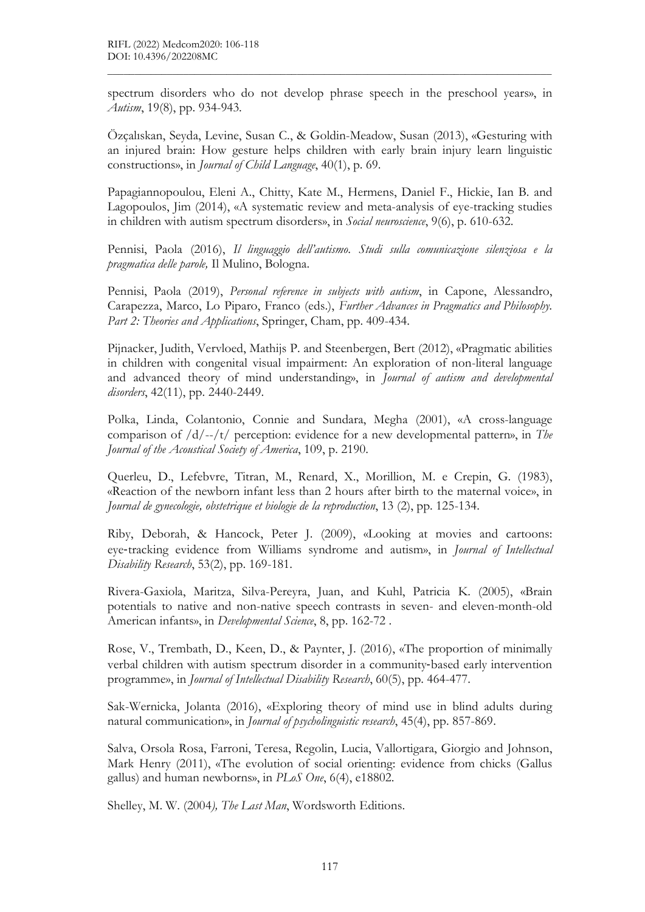spectrum disorders who do not develop phrase speech in the preschool years», in Autism, 19(8), pp. 934-943.

 $\mathcal{L}_\mathcal{L} = \{ \mathcal{L}_\mathcal{L} = \{ \mathcal{L}_\mathcal{L} = \{ \mathcal{L}_\mathcal{L} = \{ \mathcal{L}_\mathcal{L} = \{ \mathcal{L}_\mathcal{L} = \{ \mathcal{L}_\mathcal{L} = \{ \mathcal{L}_\mathcal{L} = \{ \mathcal{L}_\mathcal{L} = \{ \mathcal{L}_\mathcal{L} = \{ \mathcal{L}_\mathcal{L} = \{ \mathcal{L}_\mathcal{L} = \{ \mathcal{L}_\mathcal{L} = \{ \mathcal{L}_\mathcal{L} = \{ \mathcal{L}_\mathcal{$ 

Özçalıskan, Seyda, Levine, Susan C., & Goldin-Meadow, Susan (2013), «Gesturing with an injured brain: How gesture helps children with early brain injury learn linguistic constructions», in Journal of Child Language, 40(1), p. 69.

Papagiannopoulou, Eleni A., Chitty, Kate M., Hermens, Daniel F., Hickie, Ian B. and Lagopoulos, Jim (2014), «A systematic review and meta-analysis of eye-tracking studies in children with autism spectrum disorders», in Social neuroscience, 9(6), p. 610-632.

Pennisi, Paola (2016), Il linguaggio dell'autismo. Studi sulla comunicazione silenziosa e la pragmatica delle parole, Il Mulino, Bologna.

Pennisi, Paola (2019), Personal reference in subjects with autism, in Capone, Alessandro, Carapezza, Marco, Lo Piparo, Franco (eds.), Further Advances in Pragmatics and Philosophy. Part 2: Theories and Applications, Springer, Cham, pp. 409-434.

Pijnacker, Judith, Vervloed, Mathijs P. and Steenbergen, Bert (2012), «Pragmatic abilities in children with congenital visual impairment: An exploration of non-literal language and advanced theory of mind understanding», in Journal of autism and developmental disorders, 42(11), pp. 2440-2449.

Polka, Linda, Colantonio, Connie and Sundara, Megha (2001), «A cross-language comparison of  $/d$ --/t/ perception: evidence for a new developmental pattern», in The Journal of the Acoustical Society of America, 109, p. 2190.

Querleu, D., Lefebvre, Titran, M., Renard, X., Morillion, M. e Crepin, G. (1983), «Reaction of the newborn infant less than 2 hours after birth to the maternal voice», in Journal de gynecologie, obstetrique et biologie de la reproduction, 13 (2), pp. 125-134.

Riby, Deborah, & Hancock, Peter J. (2009), «Looking at movies and cartoons: eye-tracking evidence from Williams syndrome and autism», in *Journal of Intellectual* Disability Research, 53(2), pp. 169-181.

Rivera-Gaxiola, Maritza, Silva-Pereyra, Juan, and Kuhl, Patricia K. (2005), «Brain potentials to native and non-native speech contrasts in seven- and eleven-month-old American infants», in Developmental Science, 8, pp. 162-72.

Rose, V., Trembath, D., Keen, D., & Paynter, J. (2016), «The proportion of minimally verbal children with autism spectrum disorder in a community‐based early intervention programme», in Journal of Intellectual Disability Research, 60(5), pp. 464-477.

Sak-Wernicka, Jolanta (2016), «Exploring theory of mind use in blind adults during natural communication», in *Journal of psycholinguistic research*, 45(4), pp. 857-869.

Salva, Orsola Rosa, Farroni, Teresa, Regolin, Lucia, Vallortigara, Giorgio and Johnson, Mark Henry (2011), «The evolution of social orienting: evidence from chicks (Gallus gallus) and human newborns», in PLoS One, 6(4), e18802.

Shelley, M. W. (2004), The Last Man, Wordsworth Editions.